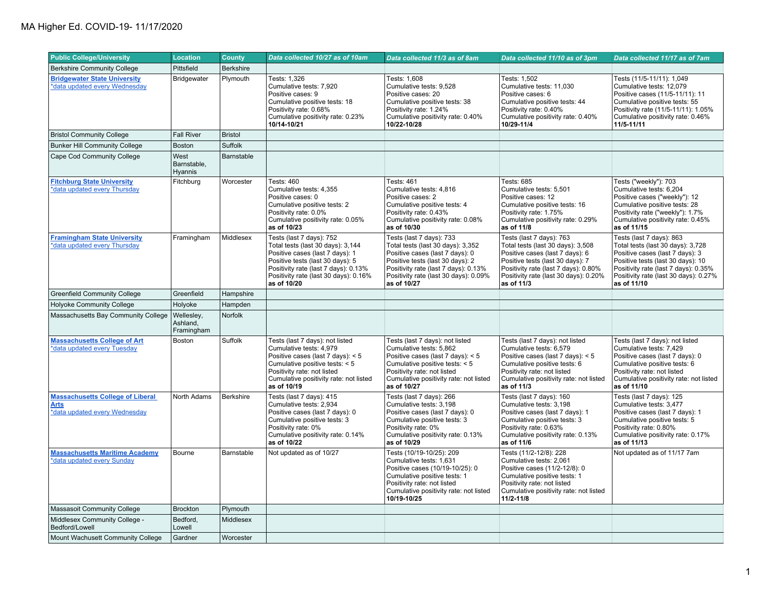| <b>Public College/University</b>                                                 | <b>Location</b>                      | <b>County</b>    | Data collected 10/27 as of 10am                                                                                                                                                                                                      | Data collected 11/3 as of 8am                                                                                                                                                                                                        | Data collected 11/10 as of 3pm                                                                                                                                                                                                      | Data collected 11/17 as of 7am                                                                                                                                                                                                        |
|----------------------------------------------------------------------------------|--------------------------------------|------------------|--------------------------------------------------------------------------------------------------------------------------------------------------------------------------------------------------------------------------------------|--------------------------------------------------------------------------------------------------------------------------------------------------------------------------------------------------------------------------------------|-------------------------------------------------------------------------------------------------------------------------------------------------------------------------------------------------------------------------------------|---------------------------------------------------------------------------------------------------------------------------------------------------------------------------------------------------------------------------------------|
| <b>Berkshire Community College</b>                                               | Pittsfield                           | <b>Berkshire</b> |                                                                                                                                                                                                                                      |                                                                                                                                                                                                                                      |                                                                                                                                                                                                                                     |                                                                                                                                                                                                                                       |
| <b>Bridgewater State University</b><br>*data updated every Wednesday             | Bridgewater                          | Plymouth         | Tests: 1,326<br>Cumulative tests: 7.920<br>Positive cases: 9<br>Cumulative positive tests: 18<br>Positivity rate: 0.68%<br>Cumulative positivity rate: 0.23%<br>10/14-10/21                                                          | Tests: 1,608<br>Cumulative tests: 9.528<br>Positive cases: 20<br>Cumulative positive tests: 38<br>Positivity rate: 1.24%<br>Cumulative positivity rate: 0.40%<br>10/22-10/28                                                         | Tests: 1,502<br>Cumulative tests: 11,030<br>Positive cases: 6<br>Cumulative positive tests: 44<br>Positivity rate: 0.40%<br>Cumulative positivity rate: 0.40%<br>10/29-11/4                                                         | Tests (11/5-11/11): 1,049<br>Cumulative tests: 12,079<br>Positive cases (11/5-11/11): 11<br>Cumulative positive tests: 55<br>Positivity rate (11/5-11/11): 1.05%<br>Cumulative positivity rate: 0.46%<br>11/5-11/11                   |
| <b>Bristol Community College</b>                                                 | <b>Fall River</b>                    | <b>Bristol</b>   |                                                                                                                                                                                                                                      |                                                                                                                                                                                                                                      |                                                                                                                                                                                                                                     |                                                                                                                                                                                                                                       |
| <b>Bunker Hill Community College</b>                                             | <b>Boston</b>                        | Suffolk          |                                                                                                                                                                                                                                      |                                                                                                                                                                                                                                      |                                                                                                                                                                                                                                     |                                                                                                                                                                                                                                       |
| Cape Cod Community College                                                       | West<br>Barnstable,<br>Hyannis       | Barnstable       |                                                                                                                                                                                                                                      |                                                                                                                                                                                                                                      |                                                                                                                                                                                                                                     |                                                                                                                                                                                                                                       |
| <b>Fitchburg State University</b><br>*data updated every Thursday                | Fitchburg                            | Worcester        | Tests: 460<br>Cumulative tests: 4,355<br>Positive cases: 0<br>Cumulative positive tests: 2<br>Positivity rate: 0.0%<br>Cumulative positivity rate: 0.05%<br>as of 10/23                                                              | Tests: 461<br>Cumulative tests: 4,816<br>Positive cases: 2<br>Cumulative positive tests: 4<br>Positivity rate: 0.43%<br>Cumulative positivity rate: 0.08%<br>as of 10/30                                                             | Tests: 685<br>Cumulative tests: 5,501<br>Positive cases: 12<br>Cumulative positive tests: 16<br>Positivity rate: 1.75%<br>Cumulative positivity rate: 0.29%<br>as of 11/8                                                           | Tests ("weekly"): 703<br>Cumulative tests: 6,204<br>Positive cases ("weekly"): 12<br>Cumulative positive tests: 28<br>Positivity rate ("weekly"): 1.7%<br>Cumulative positivity rate: 0.45%<br>as of 11/15                            |
| <b>Framingham State University</b><br>*data updated every Thursday               | Framingham                           | Middlesex        | Tests (last 7 days): 752<br>Total tests (last 30 days): 3,144<br>Positive cases (last 7 days): 1<br>Positive tests (last 30 days): 5<br>Positivity rate (last 7 days): 0.13%<br>Positivity rate (last 30 days): 0.16%<br>as of 10/20 | Tests (last 7 days): 733<br>Total tests (last 30 days): 3,352<br>Positive cases (last 7 days): 0<br>Positive tests (last 30 days): 2<br>Positivity rate (last 7 days): 0.13%<br>Positivity rate (last 30 days): 0.09%<br>as of 10/27 | Tests (last 7 days): 763<br>Total tests (last 30 days): 3,508<br>Positive cases (last 7 days): 6<br>Positive tests (last 30 days): 7<br>Positivity rate (last 7 days): 0.80%<br>Positivity rate (last 30 days): 0.20%<br>as of 11/3 | Tests (last 7 days): 863<br>Total tests (last 30 days): 3,728<br>Positive cases (last 7 days): 3<br>Positive tests (last 30 days): 10<br>Positivity rate (last 7 days): 0.35%<br>Positivity rate (last 30 days): 0.27%<br>as of 11/10 |
| <b>Greenfield Community College</b>                                              | Greenfield                           | Hampshire        |                                                                                                                                                                                                                                      |                                                                                                                                                                                                                                      |                                                                                                                                                                                                                                     |                                                                                                                                                                                                                                       |
| <b>Holyoke Community College</b>                                                 | Holyoke                              | Hampden          |                                                                                                                                                                                                                                      |                                                                                                                                                                                                                                      |                                                                                                                                                                                                                                     |                                                                                                                                                                                                                                       |
| Massachusetts Bay Community College                                              | Wellesley,<br>Ashland.<br>Framingham | Norfolk          |                                                                                                                                                                                                                                      |                                                                                                                                                                                                                                      |                                                                                                                                                                                                                                     |                                                                                                                                                                                                                                       |
| <b>Massachusetts College of Art</b><br>*data updated every Tuesday               | Boston                               | Suffolk          | Tests (last 7 days): not listed<br>Cumulative tests: 4,979<br>Positive cases (last 7 days): $< 5$<br>Cumulative positive tests: < 5<br>Positivity rate: not listed<br>Cumulative positivity rate: not listed<br>as of 10/19          | Tests (last 7 days): not listed<br>Cumulative tests: 5,862<br>Positive cases (last 7 days): < 5<br>Cumulative positive tests: < 5<br>Positivity rate: not listed<br>Cumulative positivity rate: not listed<br>as of 10/27            | Tests (last 7 days): not listed<br>Cumulative tests: 6,579<br>Positive cases (last 7 days): < 5<br>Cumulative positive tests: 6<br>Positivity rate: not listed<br>Cumulative positivity rate: not listed<br>as of 11/3              | Tests (last 7 days): not listed<br>Cumulative tests: 7,429<br>Positive cases (last 7 days): 0<br>Cumulative positive tests: 6<br>Positivity rate: not listed<br>Cumulative positivity rate: not listed<br>as of 11/10                 |
| <b>Massachusetts College of Liberal</b><br>Arts<br>*data updated every Wednesday | North Adams                          | <b>Berkshire</b> | Tests (last 7 days): 415<br>Cumulative tests: 2,934<br>Positive cases (last 7 days): 0<br>Cumulative positive tests: 3<br>Positivity rate: 0%<br>Cumulative positivity rate: 0.14%<br>as of 10/22                                    | Tests (last 7 days): 266<br>Cumulative tests: 3,198<br>Positive cases (last 7 days): 0<br>Cumulative positive tests: 3<br>Positivity rate: 0%<br>Cumulative positivity rate: 0.13%<br>as of 10/29                                    | Tests (last 7 days): 160<br>Cumulative tests: 3,198<br>Positive cases (last 7 days): 1<br>Cumulative positive tests: 3<br>Positivity rate: 0.63%<br>Cumulative positivity rate: 0.13%<br>as of 11/6                                 | Tests (last 7 days): 125<br>Cumulative tests: 3,477<br>Positive cases (last 7 days): 1<br>Cumulative positive tests: 5<br>Positivity rate: 0.80%<br>Cumulative positivity rate: 0.17%<br>as of 11/13                                  |
| <b>Massachusetts Maritime Academy</b><br>*data updated every Sunday              | Bourne                               | Barnstable       | Not updated as of 10/27                                                                                                                                                                                                              | Tests (10/19-10/25): 209<br>Cumulative tests: 1,631<br>Positive cases (10/19-10/25): 0<br>Cumulative positive tests: 1<br>Positivity rate: not listed<br>Cumulative positivity rate: not listed<br>10/19-10/25                       | Tests (11/2-12/8): 228<br>Cumulative tests: 2,061<br>Positive cases (11/2-12/8): 0<br>Cumulative positive tests: 1<br>Positivity rate: not listed<br>Cumulative positivity rate: not listed<br>11/2-11/8                            | Not updated as of 11/17 7am                                                                                                                                                                                                           |
| <b>Massasoit Community College</b>                                               | <b>Brockton</b>                      | Plymouth         |                                                                                                                                                                                                                                      |                                                                                                                                                                                                                                      |                                                                                                                                                                                                                                     |                                                                                                                                                                                                                                       |
| Middlesex Community College -<br>Bedford/Lowell                                  | Bedford,<br>Lowell                   | Middlesex        |                                                                                                                                                                                                                                      |                                                                                                                                                                                                                                      |                                                                                                                                                                                                                                     |                                                                                                                                                                                                                                       |
| Mount Wachusett Community College                                                | Gardner                              | Worcester        |                                                                                                                                                                                                                                      |                                                                                                                                                                                                                                      |                                                                                                                                                                                                                                     |                                                                                                                                                                                                                                       |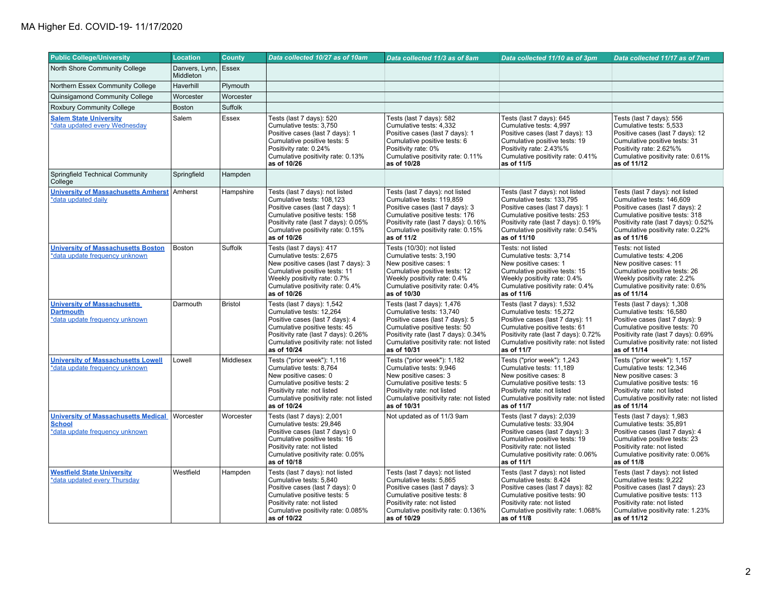| <b>Public College/University</b>                                                              | <b>Location</b>             | <b>County</b>  | Data collected 10/27 as of 10am                                                                                                                                                                                               | Data collected 11/3 as of 8am                                                                                                                                                                                                | Data collected 11/10 as of 3pm                                                                                                                                                                                                | Data collected 11/17 as of 7am                                                                                                                                                                                                |
|-----------------------------------------------------------------------------------------------|-----------------------------|----------------|-------------------------------------------------------------------------------------------------------------------------------------------------------------------------------------------------------------------------------|------------------------------------------------------------------------------------------------------------------------------------------------------------------------------------------------------------------------------|-------------------------------------------------------------------------------------------------------------------------------------------------------------------------------------------------------------------------------|-------------------------------------------------------------------------------------------------------------------------------------------------------------------------------------------------------------------------------|
| North Shore Community College                                                                 | Danvers, Lynn,<br>Middleton | Essex          |                                                                                                                                                                                                                               |                                                                                                                                                                                                                              |                                                                                                                                                                                                                               |                                                                                                                                                                                                                               |
| Northern Essex Community College                                                              | Haverhill                   | Plymouth       |                                                                                                                                                                                                                               |                                                                                                                                                                                                                              |                                                                                                                                                                                                                               |                                                                                                                                                                                                                               |
| Quinsigamond Community College                                                                | Worcester                   | Worcester      |                                                                                                                                                                                                                               |                                                                                                                                                                                                                              |                                                                                                                                                                                                                               |                                                                                                                                                                                                                               |
| Roxbury Community College                                                                     | <b>Boston</b>               | <b>Suffolk</b> |                                                                                                                                                                                                                               |                                                                                                                                                                                                                              |                                                                                                                                                                                                                               |                                                                                                                                                                                                                               |
| <b>Salem State University</b><br>*data updated every Wednesday                                | Salem                       | Essex          | Tests (last 7 days): 520<br>Cumulative tests: 3,750<br>Positive cases (last 7 days): 1<br>Cumulative positive tests: 5<br>Positivity rate: 0.24%<br>Cumulative positivity rate: 0.13%<br>as of 10/26                          | Tests (last 7 days): 582<br>Cumulative tests: 4,332<br>Positive cases (last 7 days): 1<br>Cumulative positive tests: 6<br>Positivity rate: 0%<br>Cumulative positivity rate: 0.11%<br>as of 10/28                            | Tests (last 7 days): 645<br>Cumulative tests: 4,997<br>Positive cases (last 7 days): 13<br>Cumulative positive tests: 19<br>Positivity rate: 2.43%%<br>Cumulative positivity rate: 0.41%<br>as of 11/5                        | Tests (last 7 days): 556<br>Cumulative tests: 5,533<br>Positive cases (last 7 days): 12<br>Cumulative positive tests: 31<br>Positivity rate: 2.62%%<br>Cumulative positivity rate: 0.61%<br>as of 11/12                       |
| Springfield Technical Community<br>College                                                    | Springfield                 | Hampden        |                                                                                                                                                                                                                               |                                                                                                                                                                                                                              |                                                                                                                                                                                                                               |                                                                                                                                                                                                                               |
| <b>University of Massachusetts Amherst</b><br>*data updated daily                             | Amherst                     | Hampshire      | Tests (last 7 days): not listed<br>Cumulative tests: 108,123<br>Positive cases (last 7 days): 1<br>Cumulative positive tests: 158<br>Positivity rate (last 7 days): 0.05%<br>Cumulative positivity rate: 0.15%<br>as of 10/26 | Tests (last 7 days): not listed<br>Cumulative tests: 119,859<br>Positive cases (last 7 days): 3<br>Cumulative positive tests: 176<br>Positivity rate (last 7 days): 0.16%<br>Cumulative positivity rate: 0.15%<br>as of 11/2 | Tests (last 7 days): not listed<br>Cumulative tests: 133,795<br>Positive cases (last 7 days): 1<br>Cumulative positive tests: 253<br>Positivity rate (last 7 days): 0.19%<br>Cumulative positivity rate: 0.54%<br>as of 11/10 | Tests (last 7 days): not listed<br>Cumulative tests: 146,609<br>Positive cases (last 7 days): 2<br>Cumulative positive tests: 318<br>Positivity rate (last 7 days): 0.52%<br>Cumulative positivity rate: 0.22%<br>as of 11/16 |
| <b>University of Massachusetts Boston</b><br>*data update frequency unknown                   | <b>Boston</b>               | Suffolk        | Tests (last 7 days): 417<br>Cumulative tests: 2,675<br>New positive cases (last 7 days): 3<br>Cumulative positive tests: 11<br>Weekly positivity rate: 0.7%<br>Cumulative positivity rate: 0.4%<br>as of 10/26                | Tests (10/30): not listed<br>Cumulative tests: 3,190<br>New positive cases: 1<br>Cumulative positive tests: 12<br>Weekly positivity rate: 0.4%<br>Cumulative positivity rate: 0.4%<br>as of 10/30                            | Tests: not listed<br>Cumulative tests: 3,714<br>New positive cases: 1<br>Cumulative positive tests: 15<br>Weekly positivity rate: 0.4%<br>Cumulative positivity rate: 0.4%<br>as of 11/6                                      | Tests: not listed<br>Cumulative tests: 4,206<br>New positive cases: 11<br>Cumulative positive tests: 26<br>Weekly positivity rate: 2.2%<br>Cumulative positivity rate: 0.6%<br>as of 11/14                                    |
| <b>University of Massachusetts</b><br><b>Dartmouth</b><br>*data update frequency unknown      | Darmouth                    | <b>Bristol</b> | Tests (last 7 days): 1,542<br>Cumulative tests: 12,264<br>Positive cases (last 7 days): 4<br>Cumulative positive tests: 45<br>Positivity rate (last 7 days): 0.26%<br>Cumulative positivity rate: not listed<br>as of 10/24   | Tests (last 7 days): 1,476<br>Cumulative tests: 13,740<br>Positive cases (last 7 days): 5<br>Cumulative positive tests: 50<br>Positivity rate (last 7 days): 0.34%<br>Cumulative positivity rate: not listed<br>as of 10/31  | Tests (last 7 days): 1,532<br>Cumulative tests: 15,272<br>Positive cases (last 7 days): 11<br>Cumulative positive tests: 61<br>Positivity rate (last 7 days): 0.72%<br>Cumulative positivity rate: not listed<br>as of 11/7   | Tests (last 7 days): 1,308<br>Cumulative tests: 16,580<br>Positive cases (last 7 days): 9<br>Cumulative positive tests: 70<br>Positivity rate (last 7 days): 0.69%<br>Cumulative positivity rate: not listed<br>as of 11/14   |
| <b>University of Massachusetts Lowell</b><br>*data update frequency unknown                   | Lowell                      | Middlesex      | Tests ("prior week"): 1,116<br>Cumulative tests: 8,764<br>New positive cases: 0<br>Cumulative positive tests: 2<br>Positivity rate: not listed<br>Cumulative positivity rate: not listed<br>as of 10/24                       | Tests ("prior week"): 1,182<br>Cumulative tests: 9.946<br>New positive cases: 3<br>Cumulative positive tests: 5<br>Positivity rate: not listed<br>Cumulative positivity rate: not listed<br>as of 10/31                      | Tests ("prior week"): 1,243<br>Cumulative tests: 11,189<br>New positive cases: 8<br>Cumulative positive tests: 13<br>Positivity rate: not listed<br>Cumulative positivity rate: not listed<br>as of 11/7                      | Tests ("prior week"): 1,157<br>Cumulative tests: 12.346<br>New positive cases: 3<br>Cumulative positive tests: 16<br>Positivity rate: not listed<br>Cumulative positivity rate: not listed<br>as of 11/14                     |
| <b>University of Massachusetts Medical</b><br><b>School</b><br>*data update frequency unknown | Worcester                   | Worcester      | Tests (last 7 days): 2,001<br>Cumulative tests: 29,846<br>Positive cases (last 7 days): 0<br>Cumulative positive tests: 16<br>Positivity rate: not listed<br>Cumulative positivity rate: 0.05%<br>as of 10/18                 | Not updated as of 11/3 9am                                                                                                                                                                                                   | Tests (last 7 days): 2,039<br>Cumulative tests: 33,904<br>Positive cases (last 7 days): 3<br>Cumulative positive tests: 19<br>Positivity rate: not listed<br>Cumulative positivity rate: 0.06%<br>as of 11/1                  | Tests (last 7 days): 1,983<br>Cumulative tests: 35,891<br>Positive cases (last 7 days): 4<br>Cumulative positive tests: 23<br>Positivity rate: not listed<br>Cumulative positivity rate: 0.06%<br>as of 11/8                  |
| <b>Westfield State University</b><br>*data updated every Thursday                             | Westfield                   | Hampden        | Tests (last 7 days): not listed<br>Cumulative tests: 5,840<br>Positive cases (last 7 days): 0<br>Cumulative positive tests: 5<br>Positivity rate: not listed<br>Cumulative positivity rate: 0.085%<br>as of 10/22             | Tests (last 7 days): not listed<br>Cumulative tests: 5,865<br>Positive cases (last 7 days): 3<br>Cumulative positive tests: 8<br>Positivity rate: not listed<br>Cumulative positivity rate: 0.136%<br>as of 10/29            | Tests (last 7 days): not listed<br>Cumulative tests: 8.424<br>Positive cases (last 7 days): 82<br>Cumulative positive tests: 90<br>Positivity rate: not listed<br>Cumulative positivity rate: 1.068%<br>as of 11/8            | Tests (last 7 days): not listed<br>Cumulative tests: 9,222<br>Positive cases (last 7 days): 23<br>Cumulative positive tests: 113<br>Positivity rate: not listed<br>Cumulative positivity rate: 1.23%<br>as of 11/12           |